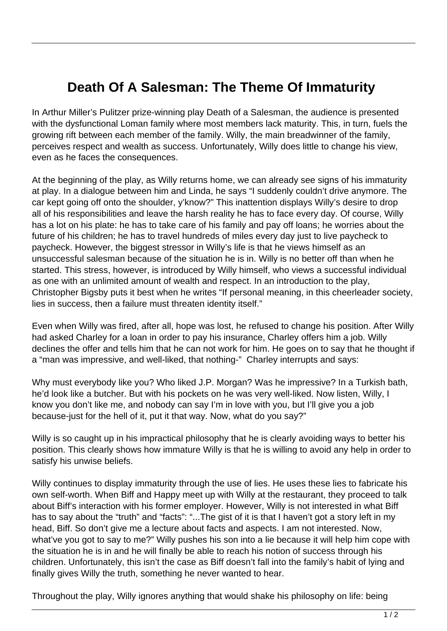## **Death Of A Salesman: The Theme Of Immaturity**

In Arthur Miller's Pulitzer prize-winning play Death of a Salesman, the audience is presented with the dysfunctional Loman family where most members lack maturity. This, in turn, fuels the growing rift between each member of the family. Willy, the main breadwinner of the family, perceives respect and wealth as success. Unfortunately, Willy does little to change his view, even as he faces the consequences.

At the beginning of the play, as Willy returns home, we can already see signs of his immaturity at play. In a dialogue between him and Linda, he says "I suddenly couldn't drive anymore. The car kept going off onto the shoulder, y'know?" This inattention displays Willy's desire to drop all of his responsibilities and leave the harsh reality he has to face every day. Of course, Willy has a lot on his plate: he has to take care of his family and pay off loans; he worries about the future of his children; he has to travel hundreds of miles every day just to live paycheck to paycheck. However, the biggest stressor in Willy's life is that he views himself as an unsuccessful salesman because of the situation he is in. Willy is no better off than when he started. This stress, however, is introduced by Willy himself, who views a successful individual as one with an unlimited amount of wealth and respect. In an introduction to the play, Christopher Bigsby puts it best when he writes "If personal meaning, in this cheerleader society, lies in success, then a failure must threaten identity itself."

Even when Willy was fired, after all, hope was lost, he refused to change his position. After Willy had asked Charley for a loan in order to pay his insurance, Charley offers him a job. Willy declines the offer and tells him that he can not work for him. He goes on to say that he thought if a "man was impressive, and well-liked, that nothing-" Charley interrupts and says:

Why must everybody like you? Who liked J.P. Morgan? Was he impressive? In a Turkish bath, he'd look like a butcher. But with his pockets on he was very well-liked. Now listen, Willy, I know you don't like me, and nobody can say I'm in love with you, but I'll give you a job because-just for the hell of it, put it that way. Now, what do you say?"

Willy is so caught up in his impractical philosophy that he is clearly avoiding ways to better his position. This clearly shows how immature Willy is that he is willing to avoid any help in order to satisfy his unwise beliefs.

Willy continues to display immaturity through the use of lies. He uses these lies to fabricate his own self-worth. When Biff and Happy meet up with Willy at the restaurant, they proceed to talk about Biff's interaction with his former employer. However, Willy is not interested in what Biff has to say about the "truth" and "facts": "...The gist of it is that I haven't got a story left in my head, Biff. So don't give me a lecture about facts and aspects. I am not interested. Now, what've you got to say to me?" Willy pushes his son into a lie because it will help him cope with the situation he is in and he will finally be able to reach his notion of success through his children. Unfortunately, this isn't the case as Biff doesn't fall into the family's habit of lying and finally gives Willy the truth, something he never wanted to hear.

Throughout the play, Willy ignores anything that would shake his philosophy on life: being